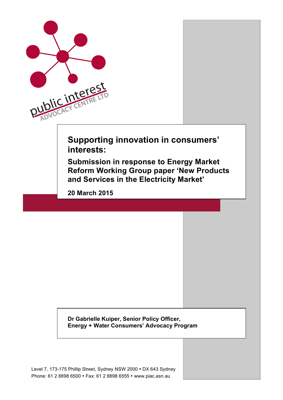

Level 7, 173-175 Phillip Street, Sydney NSW 2000 • DX 643 Sydney Phone: 61 2 8898 6500 • Fax: 61 2 8898 6555 • www.piac.asn.au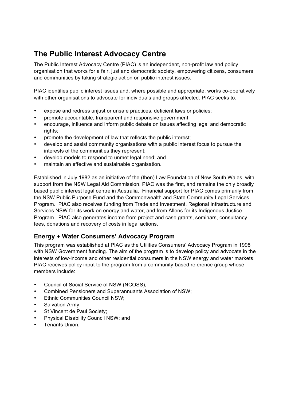# **The Public Interest Advocacy Centre**

The Public Interest Advocacy Centre (PIAC) is an independent, non-profit law and policy organisation that works for a fair, just and democratic society, empowering citizens, consumers and communities by taking strategic action on public interest issues.

PIAC identifies public interest issues and, where possible and appropriate, works co-operatively with other organisations to advocate for individuals and groups affected. PIAC seeks to:

- expose and redress unjust or unsafe practices, deficient laws or policies;
- promote accountable, transparent and responsive government;
- encourage, influence and inform public debate on issues affecting legal and democratic rights;
- promote the development of law that reflects the public interest;
- develop and assist community organisations with a public interest focus to pursue the interests of the communities they represent;
- develop models to respond to unmet legal need; and
- maintain an effective and sustainable organisation.

Established in July 1982 as an initiative of the (then) Law Foundation of New South Wales, with support from the NSW Legal Aid Commission, PIAC was the first, and remains the only broadly based public interest legal centre in Australia. Financial support for PIAC comes primarily from the NSW Public Purpose Fund and the Commonwealth and State Community Legal Services Program. PIAC also receives funding from Trade and Investment, Regional Infrastructure and Services NSW for its work on energy and water, and from Allens for its Indigenous Justice Program. PIAC also generates income from project and case grants, seminars, consultancy fees, donations and recovery of costs in legal actions.

## **Energy + Water Consumers' Advocacy Program**

This program was established at PIAC as the Utilities Consumers' Advocacy Program in 1998 with NSW Government funding. The aim of the program is to develop policy and advocate in the interests of low-income and other residential consumers in the NSW energy and water markets. PIAC receives policy input to the program from a community-based reference group whose members include:

- Council of Social Service of NSW (NCOSS);
- Combined Pensioners and Superannuants Association of NSW;
- Ethnic Communities Council NSW;
- Salvation Army:
- St Vincent de Paul Society;
- Physical Disability Council NSW; and
- Tenants Union.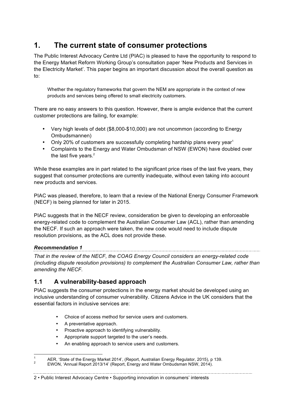# **1. The current state of consumer protections**

The Public Interest Advocacy Centre Ltd (PIAC) is pleased to have the opportunity to respond to the Energy Market Reform Working Group's consultation paper 'New Products and Services in the Electricity Market'. This paper begins an important discussion about the overall question as to:

Whether the regulatory frameworks that govern the NEM are appropriate in the context of new products and services being offered to small electricity customers.

There are no easy answers to this question. However, there is ample evidence that the current customer protections are failing, for example:

- Very high levels of debt (\$8,000-\$10,000) are not uncommon (according to Energy Ombudsmannen)
- Only 20% of customers are successfully completing hardship plans every year<sup>1</sup>
- Complaints to the Energy and Water Ombudsman of NSW (EWON) have doubled over the last five years.<sup>2</sup>

While these examples are in part related to the significant price rises of the last five years, they suggest that consumer protections are currently inadequate, without even taking into account new products and services.

PIAC was pleased, therefore, to learn that a review of the National Energy Consumer Framework (NECF) is being planned for later in 2015.

PIAC suggests that in the NECF review, consideration be given to developing an enforceable energy-related code to complement the Australian Consumer Law (ACL), rather than amending the NECF. If such an approach were taken, the new code would need to include dispute resolution provisions, as the ACL does not provide these.

#### *Recommendation 1*

*That in the review of the NECF, the COAG Energy Council considers an energy-related code (including dispute resolution provisions) to complement the Australian Consumer Law, rather than amending the NECF.*

## **1.1 A vulnerability-based approach**

PIAC suggests the consumer protections in the energy market should be developed using an inclusive understanding of consumer vulnerability. Citizens Advice in the UK considers that the essential factors in inclusive services are:

- Choice of access method for service users and customers.
- A preventative approach.
- Proactive approach to identifying vulnerability.
- Appropriate support targeted to the user's needs.
- An enabling approach to service users and customers.

#### 2 • Public Interest Advocacy Centre • Supporting innovation in consumers' interests

<sup>&</sup>lt;sup>1</sup> AER, 'State of the Energy Market 2014', (Report, Australian Energy Regulator, 2015), p 139.<br><sup>2</sup> EWON, 'Annual Report 2013/14' (Report, Energy and Water Ombudsman NSW, 2014).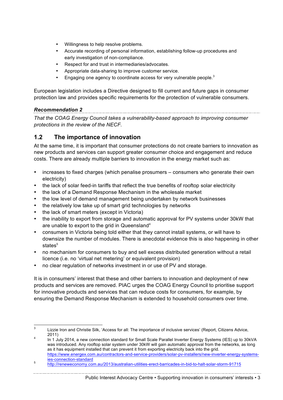- Willingness to help resolve problems.
- Accurate recording of personal information, establishing follow-up procedures and early investigation of non-compliance.
- Respect for and trust in intermediaries/advocates.
- Appropriate data-sharing to improve customer service.
- Engaging one agency to coordinate access for very vulnerable people.<sup>3</sup>

European legislation includes a Directive designed to fill current and future gaps in consumer protection law and provides specific requirements for the protection of vulnerable consumers.

#### *Recommendation 2*

*That the COAG Energy Council takes a vulnerability-based approach to improving consumer protections in the review of the NECF.*

## **1.2 The importance of innovation**

At the same time, it is important that consumer protections do not create barriers to innovation as new products and services can support greater consumer choice and engagement and reduce costs. There are already multiple barriers to innovation in the energy market such as:

- increases to fixed charges (which penalise prosumers consumers who generate their own electricity)
- the lack of solar feed-in tariffs that reflect the true benefits of rooftop solar electricity
- the lack of a Demand Response Mechanism in the wholesale market
- the low level of demand management being undertaken by network businesses
- the relatively low take up of smart grid technologies by networks
- the lack of smart meters (except in Victoria)
- the inability to export from storage and automatic approval for PV systems under 30kW that are unable to export to the grid in Queensland<sup>4</sup>
- consumers in Victoria being told either that they cannot install systems, or will have to downsize the number of modules. There is anecdotal evidence this is also happening in other states<sup>5</sup>
- no mechanism for consumers to buy and sell excess distributed generation without a retail licence (i.e. no 'virtual net metering' or equivalent provision)
- no clear regulation of networks investment in or use of PV and storage.

It is in consumers' interest that these and other barriers to innovation and deployment of new products and services are removed. PIAC urges the COAG Energy Council to prioritise support for innovative products and services that can reduce costs for consumers, for example, by ensuring the Demand Response Mechanism is extended to household consumers over time.

 <sup>3</sup> Lizzie Iron and Christie Silk, 'Access for all: The importance of inclusive services' (Report, Citizens Advice, 2011)<br>In 1 July 2014, a new connection standard for Small Scale Parallel Inverter Energy Systems (IES) up to 30kVA

was introduced. Any rooftop solar system under 30kW will gain automatic approval from the networks, as long as it has equipment installed that can prevent it from exporting electricity back into the grid. https://www.energex.com.au/contractors-and-service-providers/solar-pv-installers/new-inverter-energy-systems-

ies-connection-standard <sup>5</sup> http://reneweconomy.com.au/2013/australian-utilities-erect-barricades-in-bid-to-halt-solar-storm-91715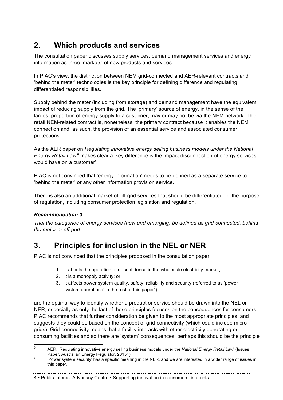# **2. Which products and services**

The consultation paper discusses supply services, demand management services and energy information as three 'markets' of new products and services.

In PIAC's view, the distinction between NEM grid-connected and AER-relevant contracts and 'behind the meter' technologies is the key principle for defining difference and regulating differentiated responsibilities.

Supply behind the meter (including from storage) and demand management have the equivalent impact of reducing supply from the grid. The 'primary' source of energy, in the sense of the largest proportion of energy supply to a customer, may or may not be via the NEM network. The retail NEM-related contract is, nonetheless, the primary contract because it enables the NEM connection and, as such, the provision of an essential service and associated consumer protections.

As the AER paper on *Regulating innovative energy selling business models under the National Energy Retail Law*<sup>6</sup> makes clear a 'key difference is the impact disconnection of energy services would have on a customer'.

PIAC is not convinced that 'energy information' needs to be defined as a separate service to 'behind the meter' or any other information provision service.

There is also an additional market of off-grid services that should be differentiated for the purpose of regulation, including consumer protection legislation and regulation.

#### *Recommendation 3*

*That the categories of energy services (new and emerging) be defined as grid-connected, behind the meter or off-grid.*

# **3. Principles for inclusion in the NEL or NER**

PIAC is not convinced that the principles proposed in the consultation paper:

- 1. it affects the operation of or confidence in the wholesale electricity market;
- 2. it is a monopoly activity; or
- 3. it affects power system quality, safety, reliability and security (referred to as 'power system operations' in the rest of this paper<sup>7</sup>).

are the optimal way to identify whether a product or service should be drawn into the NEL or NER, especially as only the last of these principles focuses on the consequences for consumers. PIAC recommends that further consideration be given to the most appropriate principles, and suggests they could be based on the concept of grid-connectivity (which could include microgrids). Grid-connectivity means that a facility interacts with other electricity generating or consuming facilities and so there are 'system' consequences; perhaps this should be the principle

4 • Public Interest Advocacy Centre • Supporting innovation in consumers' interests

 <sup>6</sup> AER, 'Regulating innovative energy selling business models under the *National Energy Retail Law*' (Issues

Paper, Australian Energy Regulator, 20154).<br><sup>7</sup> 'Power system security' has a specific meaning in the NER, and we are interested in a wider range of issues in this paper.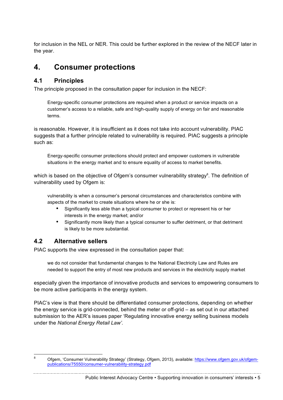for inclusion in the NEL or NER. This could be further explored in the review of the NECF later in the year.

# **4. Consumer protections**

## **4.1 Principles**

The principle proposed in the consultation paper for inclusion in the NECF:

Energy-specific consumer protections are required when a product or service impacts on a customer's access to a reliable, safe and high-quality supply of energy on fair and reasonable terms.

is reasonable. However, it is insufficient as it does not take into account vulnerability. PIAC suggests that a further principle related to vulnerability is required. PIAC suggests a principle such as:

Energy-specific consumer protections should protect and empower customers in vulnerable situations in the energy market and to ensure equality of access to market benefits.

which is based on the objective of Ofgem's consumer vulnerability strategy<sup>8</sup>. The definition of vulnerability used by Ofgem is:

vulnerability is when a consumer's personal circumstances and characteristics combine with aspects of the market to create situations where he or she is:

- Significantly less able than a typical consumer to protect or represent his or her interests in the energy market; and/or
- Significantly more likely than a typical consumer to suffer detriment, or that detriment is likely to be more substantial.

## **4.2 Alternative sellers**

PIAC supports the view expressed in the consultation paper that:

we do not consider that fundamental changes to the National Electricity Law and Rules are needed to support the entry of most new products and services in the electricity supply market

especially given the importance of innovative products and services to empowering consumers to be more active participants in the energy system.

PIAC's view is that there should be differentiated consumer protections, depending on whether the energy service is grid-connected, behind the meter or off-grid – as set out in our attached submission to the AER's issues paper 'Regulating innovative energy selling business models under the *National Energy Retail Law'.*

<sup>&</sup>lt;sup>8</sup> Ofgem, 'Consumer Vulnerability Strategy' (Strategy, Ofgem, 2013), available: https://www.ofgem.gov.uk/ofgempublications/75550/consumer-vulnerability-strategy.pdf